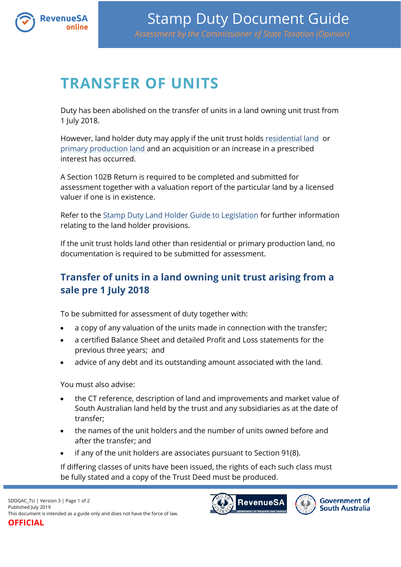

## **TRANSFER OF UNITS**

Duty has been abolished on the transfer of units in a land owning unit trust from 1 July 2018.

However, land holder duty may apply if the unit trust holds [residential land](https://www.revenuesa.sa.gov.au/stampduty/stamp-duty-document-guide#RR&PP) or [primary production land](https://www.revenuesa.sa.gov.au/stampduty/stamp-duty-document-guide#RR&PP) and an acquisition or an increase in a prescribed interest has occurred.

A Section 102B Return is required to be completed and submitted for assessment together with a valuation report of the particular land by a licensed valuer if one is in existence.

Refer to the [Stamp Duty Land Holder Guide to Legislation](http://www.revenuesa.sa.gov.au/services-and-information/publications/guides-to-legislation) for further information relating to the land holder provisions.

If the unit trust holds land other than residential or primary production land, no documentation is required to be submitted for assessment.

## **Transfer of units in a land owning unit trust arising from a sale pre 1 July 2018**

To be submitted for assessment of duty together with:

- a copy of any valuation of the units made in connection with the transfer;
- a certified Balance Sheet and detailed Profit and Loss statements for the previous three years; and
- advice of any debt and its outstanding amount associated with the land.

You must also advise:

- the CT reference, description of land and improvements and market value of South Australian land held by the trust and any subsidiaries as at the date of transfer;
- the names of the unit holders and the number of units owned before and after the transfer; and
- if any of the unit holders are associates pursuant to Section 91(8).

If differing classes of units have been issued, the rights of each such class must be fully stated and a copy of the Trust Deed must be produced.